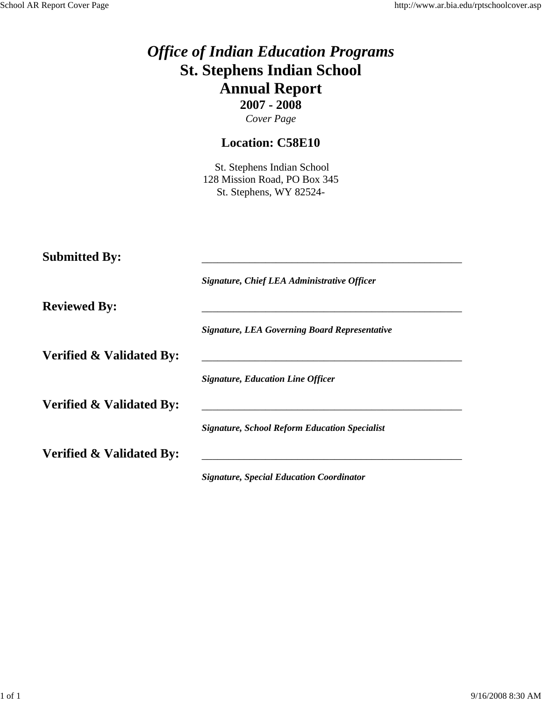|                                     | <b>Office of Indian Education Programs</b><br><b>St. Stephens Indian School</b><br><b>Annual Report</b><br>$2007 - 2008$<br>Cover Page |
|-------------------------------------|----------------------------------------------------------------------------------------------------------------------------------------|
|                                     | <b>Location: C58E10</b>                                                                                                                |
|                                     | St. Stephens Indian School<br>128 Mission Road, PO Box 345<br>St. Stephens, WY 82524-                                                  |
| <b>Submitted By:</b>                |                                                                                                                                        |
| <b>Reviewed By:</b>                 |                                                                                                                                        |
|                                     | <b>Signature, LEA Governing Board Representative</b>                                                                                   |
| <b>Verified &amp; Validated By:</b> |                                                                                                                                        |
|                                     |                                                                                                                                        |
|                                     | <b>Signature, School Reform Education Specialist</b>                                                                                   |
| <b>Verified &amp; Validated By:</b> |                                                                                                                                        |
| <b>Verified &amp; Validated By:</b> | Signature, Chief LEA Administrative Officer<br><b>Signature, Education Line Officer</b>                                                |

*Signature, Special Education Coordinator*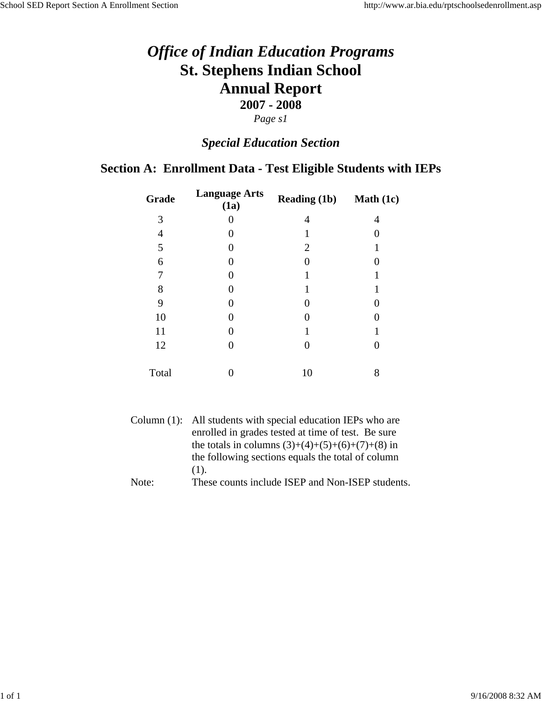### *Special Education Section*

### **Section A: Enrollment Data - Test Eligible Students with IEPs**

| Grade          | <b>Language Arts</b><br>(1a) | <b>Reading (1b)</b> | <b>Math</b> $(1c)$ |
|----------------|------------------------------|---------------------|--------------------|
| 3              | 0                            | 4                   | 4                  |
| $\overline{4}$ | 0                            |                     |                    |
| 5              | 0                            | 2                   |                    |
| 6              | 0                            |                     |                    |
| 7              | $\mathcal{O}$                |                     |                    |
| 8              | 0                            |                     |                    |
| 9              | 0                            |                     |                    |
| 10             | 0                            |                     |                    |
| 11             | 0                            |                     |                    |
| 12             | 0                            |                     |                    |
|                |                              |                     |                    |
| Total          |                              | 10                  | 8                  |

|       | Column (1): All students with special education IEPs who are |
|-------|--------------------------------------------------------------|
|       | enrolled in grades tested at time of test. Be sure           |
|       | the totals in columns $(3)+(4)+(5)+(6)+(7)+(8)$ in           |
|       | the following sections equals the total of column            |
|       | $(1)$ .                                                      |
| Note: | These counts include ISEP and Non-ISEP students.             |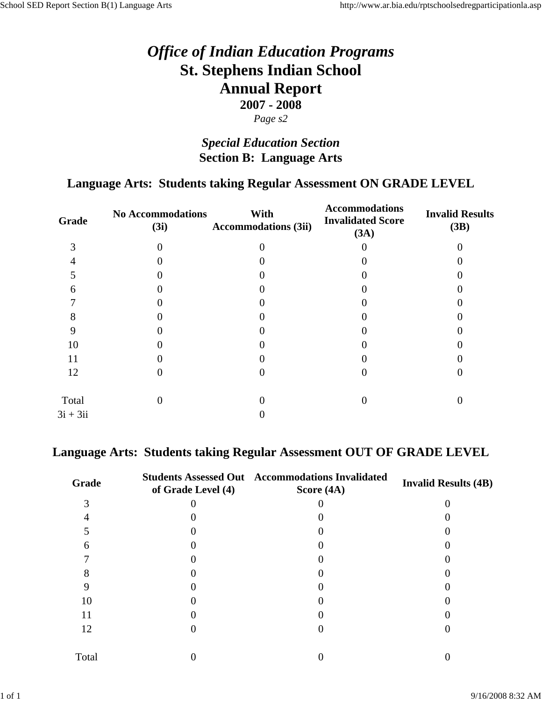### *Special Education Section* **Section B: Language Arts**

### **Language Arts: Students taking Regular Assessment ON GRADE LEVEL**

| Grade      | <b>No Accommodations</b><br>(3i) | With<br><b>Accommodations (3ii)</b> | <b>Accommodations</b><br><b>Invalidated Score</b><br>(3A) | <b>Invalid Results</b><br>(3B) |
|------------|----------------------------------|-------------------------------------|-----------------------------------------------------------|--------------------------------|
| 3          |                                  |                                     |                                                           |                                |
|            |                                  |                                     |                                                           |                                |
|            |                                  |                                     |                                                           |                                |
| 6          |                                  |                                     |                                                           |                                |
|            |                                  |                                     |                                                           |                                |
| Ω          |                                  |                                     |                                                           |                                |
|            |                                  |                                     |                                                           |                                |
| 10         |                                  |                                     |                                                           |                                |
| 11         |                                  |                                     |                                                           |                                |
| 12         |                                  |                                     |                                                           |                                |
| Total      |                                  |                                     |                                                           |                                |
| $3i + 3ii$ |                                  |                                     |                                                           |                                |
|            |                                  |                                     |                                                           |                                |

#### **Language Arts: Students taking Regular Assessment OUT OF GRADE LEVEL**

| Grade | of Grade Level (4) | <b>Students Assessed Out Accommodations Invalidated</b><br>Score (4A) | <b>Invalid Results (4B)</b> |
|-------|--------------------|-----------------------------------------------------------------------|-----------------------------|
|       |                    |                                                                       |                             |
|       |                    |                                                                       |                             |
|       |                    |                                                                       |                             |
| 6     |                    |                                                                       |                             |
|       |                    |                                                                       |                             |
|       |                    |                                                                       |                             |
|       |                    |                                                                       |                             |
| 10    |                    |                                                                       |                             |
| 11    |                    |                                                                       |                             |
| 12    |                    |                                                                       |                             |
| Total |                    |                                                                       |                             |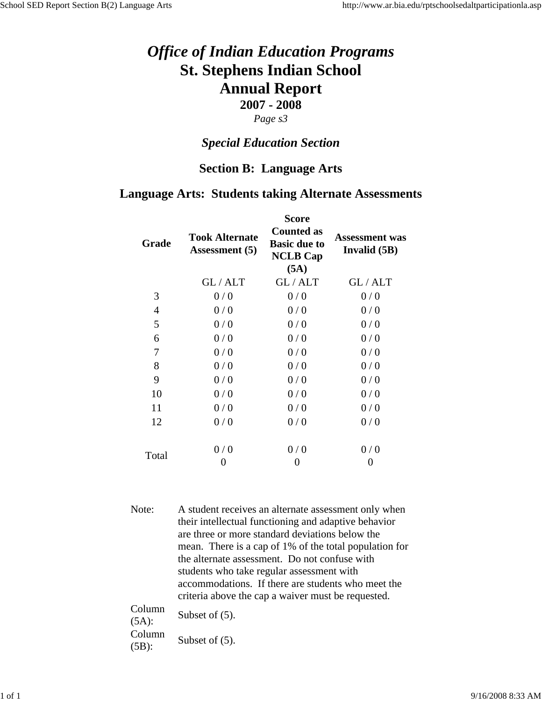#### *Page s3*

#### *Special Education Section*

#### **Section B: Language Arts**

#### **Language Arts: Students taking Alternate Assessments**

| Grade | <b>Took Alternate</b><br><b>Assessment</b> (5) | <b>Score</b><br><b>Counted as</b><br><b>Basic due to</b><br><b>NCLB Cap</b><br>(5A) | <b>Assessment was</b><br>Invalid (5B) |
|-------|------------------------------------------------|-------------------------------------------------------------------------------------|---------------------------------------|
|       | GL/ALT                                         | GL/ALT                                                                              | GL/ALT                                |
| 3     | 0/0                                            | 0/0                                                                                 | 0/0                                   |
| 4     | 0/0                                            | 0/0                                                                                 | 0/0                                   |
| 5     | 0/0                                            | 0/0                                                                                 | 0/0                                   |
| 6     | 0/0                                            | 0/0                                                                                 | 0/0                                   |
| 7     | 0/0                                            | 0/0                                                                                 | 0/0                                   |
| 8     | 0/0                                            | 0/0                                                                                 | 0/0                                   |
| 9     | 0/0                                            | 0/0                                                                                 | 0/0                                   |
| 10    | 0/0                                            | 0/0                                                                                 | 0/0                                   |
| 11    | 0/0                                            | 0/0                                                                                 | 0/0                                   |
| 12    | 0/0                                            | 0/0                                                                                 | 0/0                                   |
| Total | 0/0                                            | 0/0                                                                                 | 0/0                                   |
|       | 0                                              | 0                                                                                   | 0                                     |

Note: A student receives an alternate assessment only when their intellectual functioning and adaptive behavior are three or more standard deviations below the mean. There is a cap of 1% of the total population for the alternate assessment. Do not confuse with students who take regular assessment with accommodations. If there are students who meet the criteria above the cap a waiver must be requested.  $C<sub>0</sub>$ 

| CORTILLE<br>$(5A)$ : | Subset of $(5)$ . |
|----------------------|-------------------|
| Column               | Subset of $(5)$ . |
| $(5B)$ :             |                   |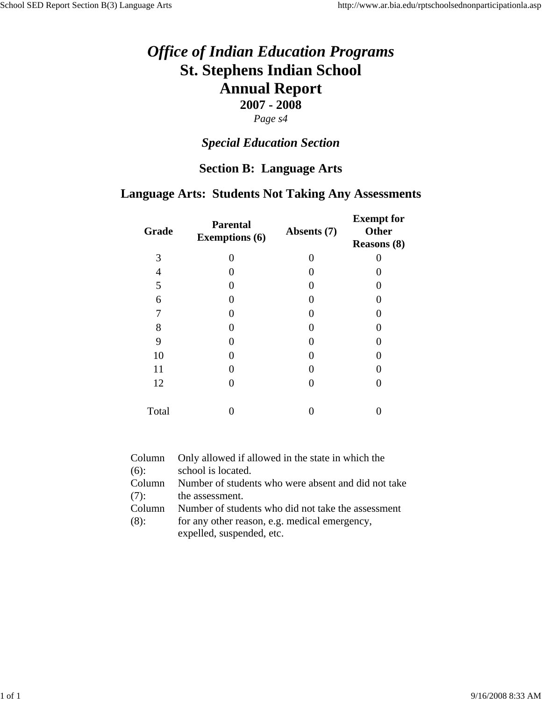### *Special Education Section*

#### **Section B: Language Arts**

#### **Language Arts: Students Not Taking Any Assessments**

| Grade | <b>Parental</b><br><b>Exemptions (6)</b> | Absents (7)       | <b>Exempt</b> for<br><b>Other</b><br><b>Reasons (8)</b> |
|-------|------------------------------------------|-------------------|---------------------------------------------------------|
| 3     | 0                                        | $\mathbf{\Omega}$ |                                                         |
| 4     |                                          |                   |                                                         |
| 5     |                                          |                   |                                                         |
| 6     |                                          |                   |                                                         |
| 7     |                                          |                   |                                                         |
| 8     |                                          |                   |                                                         |
| 9     |                                          |                   |                                                         |
| 10    |                                          | 0                 |                                                         |
| 11    |                                          |                   |                                                         |
| 12    |                                          | 0                 |                                                         |
| Total |                                          |                   |                                                         |

| Column  | Only allowed if allowed in the state in which the   |
|---------|-----------------------------------------------------|
| $(6)$ : | school is located.                                  |
| Column  | Number of students who were absent and did not take |
| (7):    | the assessment.                                     |
| Column  | Number of students who did not take the assessment  |
| (8):    | for any other reason, e.g. medical emergency,       |
|         | expelled, suspended, etc.                           |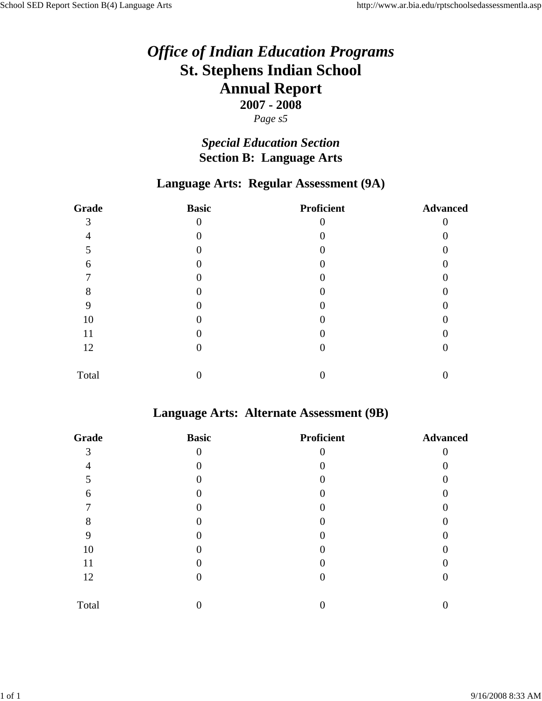#### *Page s5*

### *Special Education Section* **Section B: Language Arts**

#### **Language Arts: Regular Assessment (9A)**

| Grade | <b>Basic</b> | <b>Proficient</b> | <b>Advanced</b> |
|-------|--------------|-------------------|-----------------|
| 3     | $\theta$     |                   |                 |
|       |              |                   |                 |
|       |              |                   |                 |
| 6     |              |                   |                 |
|       |              |                   |                 |
| 8     |              |                   |                 |
| 9     |              |                   |                 |
| 10    |              |                   |                 |
| 11    |              |                   |                 |
| 12    |              |                   |                 |
| Total |              |                   |                 |

#### **Language Arts: Alternate Assessment (9B)**

| Grade | <b>Basic</b> | <b>Proficient</b> | <b>Advanced</b> |
|-------|--------------|-------------------|-----------------|
| 3     | $\theta$     |                   |                 |
|       |              |                   |                 |
| 5     |              |                   |                 |
| 6     |              |                   |                 |
| ┍     |              |                   |                 |
| 8     |              |                   |                 |
|       |              |                   |                 |
| 10    |              |                   |                 |
| 11    |              |                   |                 |
| 12    |              |                   |                 |
| Total |              |                   |                 |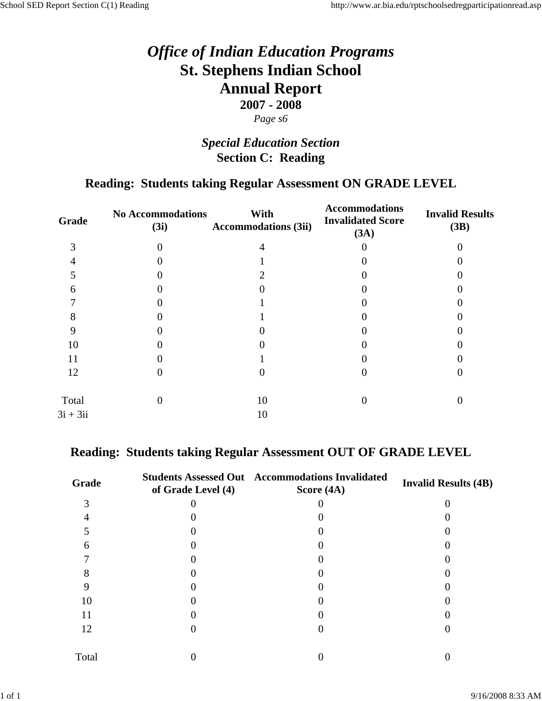### *Special Education Section* **Section C: Reading**

### **Reading: Students taking Regular Assessment ON GRADE LEVEL**

| Grade      | <b>No Accommodations</b><br>(3i) | With<br><b>Accommodations (3ii)</b> | <b>Accommodations</b><br><b>Invalidated Score</b><br>(3A) | <b>Invalid Results</b><br>(3B) |
|------------|----------------------------------|-------------------------------------|-----------------------------------------------------------|--------------------------------|
| 3          |                                  |                                     |                                                           |                                |
|            |                                  |                                     |                                                           |                                |
|            |                                  |                                     |                                                           |                                |
| 6          |                                  |                                     |                                                           |                                |
|            |                                  |                                     |                                                           |                                |
| δ          |                                  |                                     |                                                           |                                |
|            |                                  |                                     |                                                           |                                |
| 10         |                                  |                                     |                                                           |                                |
| 11         |                                  |                                     |                                                           |                                |
| 12         |                                  |                                     |                                                           |                                |
| Total      |                                  | 10                                  |                                                           |                                |
| $3i + 3ii$ |                                  | 10                                  |                                                           |                                |
|            |                                  |                                     |                                                           |                                |

#### **Reading: Students taking Regular Assessment OUT OF GRADE LEVEL**

| Grade | of Grade Level (4) | <b>Students Assessed Out Accommodations Invalidated</b><br>Score (4A) | <b>Invalid Results (4B)</b> |
|-------|--------------------|-----------------------------------------------------------------------|-----------------------------|
|       |                    |                                                                       |                             |
|       |                    |                                                                       |                             |
|       |                    |                                                                       |                             |
| 6     |                    |                                                                       |                             |
|       |                    |                                                                       |                             |
|       |                    |                                                                       |                             |
|       |                    |                                                                       |                             |
| 10    |                    |                                                                       |                             |
| 11    |                    |                                                                       |                             |
| 12    |                    |                                                                       |                             |
| Total |                    |                                                                       |                             |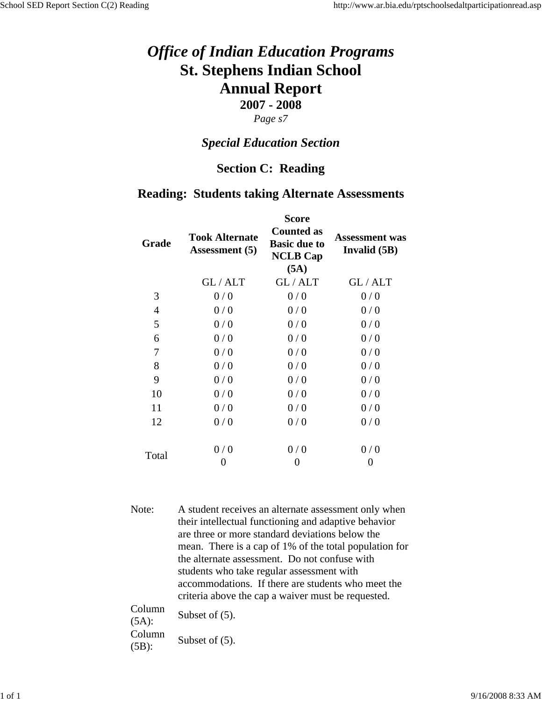#### *Page s7*

#### *Special Education Section*

#### **Section C: Reading**

#### **Reading: Students taking Alternate Assessments**

| Grade | <b>Took Alternate</b><br><b>Assessment</b> (5) | <b>Score</b><br><b>Counted as</b><br><b>Basic due to</b><br><b>NCLB Cap</b><br>(5A) | <b>Assessment was</b><br>Invalid (5B) |
|-------|------------------------------------------------|-------------------------------------------------------------------------------------|---------------------------------------|
|       | GL/ALT                                         | GL/ALT                                                                              | GL/ALT                                |
| 3     | 0/0                                            | 0/0                                                                                 | 0/0                                   |
| 4     | 0/0                                            | 0/0                                                                                 | 0/0                                   |
| 5     | 0/0                                            | 0/0                                                                                 | 0/0                                   |
| 6     | 0/0                                            | 0/0                                                                                 | 0/0                                   |
| 7     | 0/0                                            | 0/0                                                                                 | 0/0                                   |
| 8     | 0/0                                            | 0/0                                                                                 | 0/0                                   |
| 9     | 0/0                                            | 0/0                                                                                 | 0/0                                   |
| 10    | 0/0                                            | 0/0                                                                                 | 0/0                                   |
| 11    | 0/0                                            | 0/0                                                                                 | 0/0                                   |
| 12    | 0/0                                            | 0/0                                                                                 | 0/0                                   |
| Total | 0/0                                            | 0/0                                                                                 | 0/0                                   |
|       | 0                                              | 0                                                                                   | 0                                     |

Note: A student receives an alternate assessment only when their intellectual functioning and adaptive behavior are three or more standard deviations below the mean. There is a cap of 1% of the total population for the alternate assessment. Do not confuse with students who take regular assessment with accommodations. If there are students who meet the criteria above the cap a waiver must be requested.

Column  $\frac{\text{Column}}{\text{(5A)}}$  Subset of (5). Column  $\frac{\text{Column}}{\text{(5B)}}$  Subset of (5).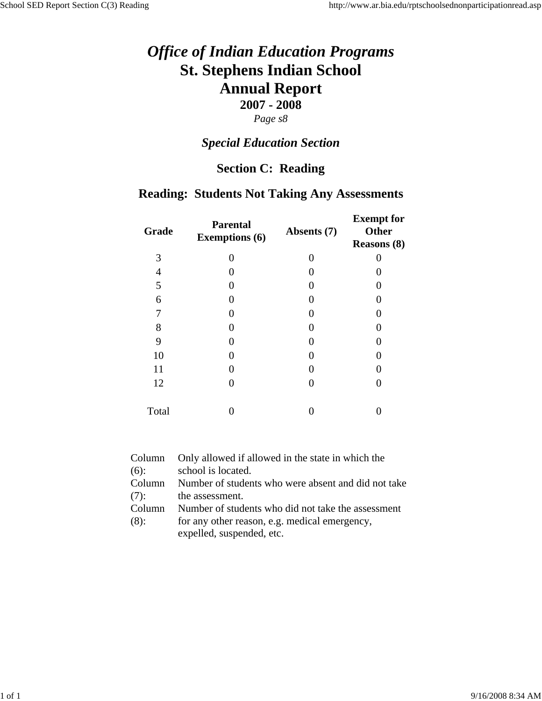# *Special Education Section*

### **Section C: Reading**

#### **Reading: Students Not Taking Any Assessments**

| Grade | <b>Parental</b><br><b>Exemptions (6)</b> | Absents (7) | <b>Exempt</b> for<br><b>Other</b><br><b>Reasons (8)</b> |
|-------|------------------------------------------|-------------|---------------------------------------------------------|
| 3     | $\mathcal{O}$                            |             |                                                         |
| 4     |                                          |             |                                                         |
| 5     |                                          |             | 0                                                       |
| 6     |                                          |             | 0                                                       |
| 7     |                                          |             | 0                                                       |
| 8     |                                          |             | 0                                                       |
| 9     |                                          |             | 0                                                       |
| 10    |                                          |             | 0                                                       |
| 11    |                                          |             | 0                                                       |
| 12    |                                          |             | 0                                                       |
| Total |                                          |             |                                                         |

| Column  | Only allowed if allowed in the state in which the   |
|---------|-----------------------------------------------------|
| $(6)$ : | school is located.                                  |
| Column  | Number of students who were absent and did not take |
| (7):    | the assessment.                                     |
| Column  | Number of students who did not take the assessment  |
| (8):    | for any other reason, e.g. medical emergency,       |
|         | expelled, suspended, etc.                           |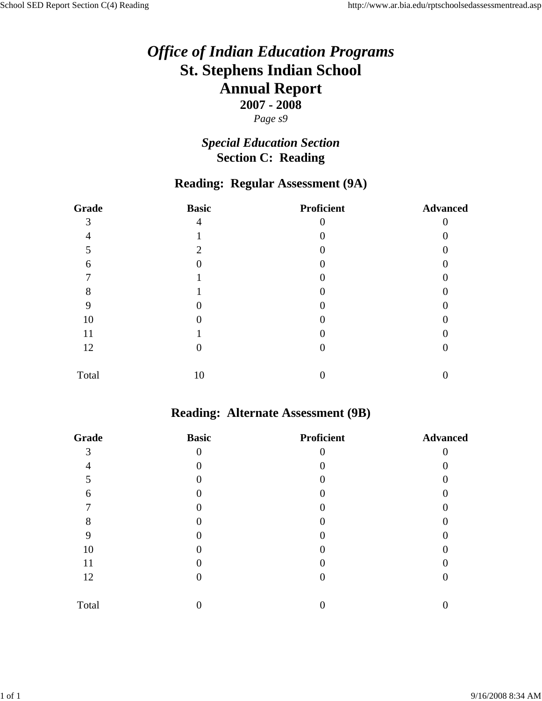### *Special Education Section* **Section C: Reading**

#### **Reading: Regular Assessment (9A)**

| Grade | <b>Basic</b> | <b>Proficient</b> | <b>Advanced</b> |
|-------|--------------|-------------------|-----------------|
| 3     | 4            |                   |                 |
| 4     |              |                   |                 |
|       | 2            |                   |                 |
| 6     |              |                   |                 |
|       |              |                   |                 |
| 8     |              |                   |                 |
| 9     |              |                   |                 |
| 10    |              |                   |                 |
| 11    |              |                   |                 |
| 12    | 0            |                   |                 |
| Total | 10           |                   |                 |

#### **Reading: Alternate Assessment (9B)**

| Grade | <b>Basic</b> | <b>Proficient</b> | <b>Advanced</b> |
|-------|--------------|-------------------|-----------------|
| 3     | 0            |                   |                 |
|       |              |                   |                 |
|       |              |                   |                 |
| 6     |              |                   |                 |
|       |              |                   |                 |
| 8     |              |                   |                 |
| 9     |              |                   |                 |
| 10    |              |                   |                 |
| 11    |              |                   |                 |
| 12    |              |                   |                 |
| Total |              |                   |                 |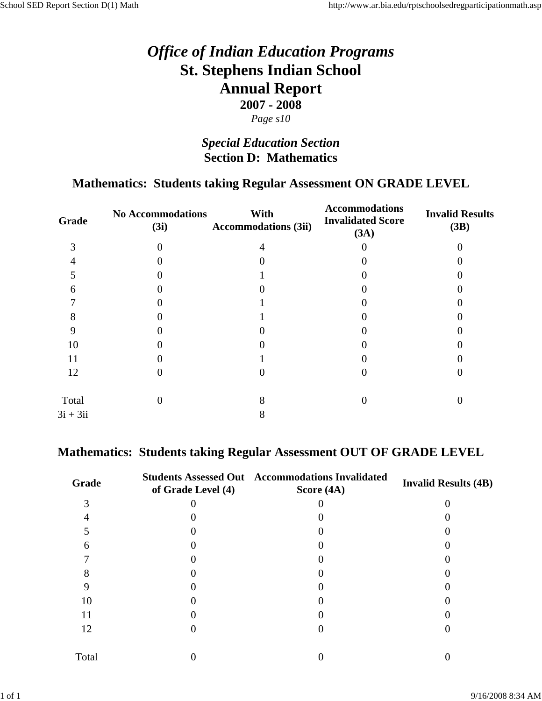### *Special Education Section* **Section D: Mathematics**

#### **Mathematics: Students taking Regular Assessment ON GRADE LEVEL**

| Grade      | <b>No Accommodations</b><br>(3i) | With<br><b>Accommodations (3ii)</b> | <b>Accommodations</b><br><b>Invalidated Score</b><br>(3A) | <b>Invalid Results</b><br>(3B) |
|------------|----------------------------------|-------------------------------------|-----------------------------------------------------------|--------------------------------|
| 3          |                                  |                                     |                                                           |                                |
|            |                                  |                                     |                                                           |                                |
|            |                                  |                                     |                                                           |                                |
| 6          |                                  |                                     |                                                           |                                |
|            |                                  |                                     |                                                           |                                |
| 8          |                                  |                                     |                                                           |                                |
|            |                                  |                                     |                                                           |                                |
| 10         |                                  |                                     |                                                           |                                |
| 11         |                                  |                                     |                                                           |                                |
| 12         |                                  |                                     |                                                           |                                |
| Total      |                                  |                                     |                                                           |                                |
| $3i + 3ii$ |                                  |                                     |                                                           |                                |
|            |                                  |                                     |                                                           |                                |

#### **Mathematics: Students taking Regular Assessment OUT OF GRADE LEVEL**

| Grade | of Grade Level (4) | <b>Students Assessed Out Accommodations Invalidated</b><br>Score (4A) | <b>Invalid Results (4B)</b> |
|-------|--------------------|-----------------------------------------------------------------------|-----------------------------|
|       |                    |                                                                       |                             |
|       |                    |                                                                       |                             |
|       |                    |                                                                       |                             |
| 6     |                    |                                                                       |                             |
|       |                    |                                                                       |                             |
|       |                    |                                                                       |                             |
|       |                    |                                                                       |                             |
| 10    |                    |                                                                       |                             |
| 11    |                    |                                                                       |                             |
| 12    |                    |                                                                       |                             |
| Total |                    |                                                                       |                             |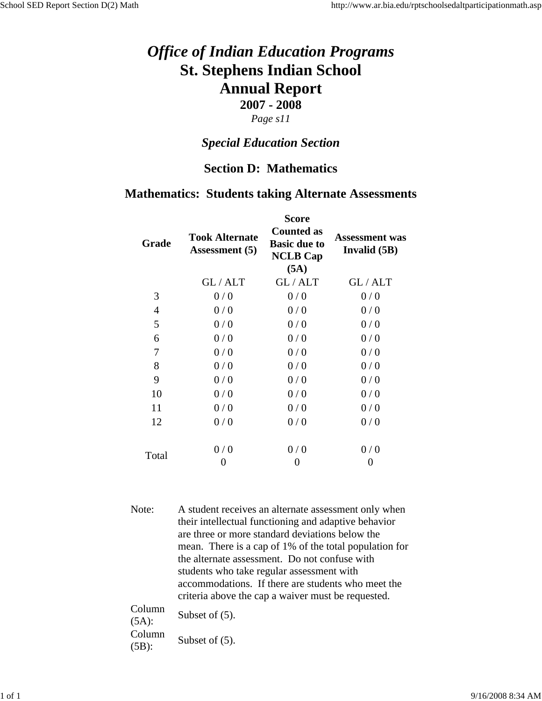#### *Page s11*

#### *Special Education Section*

#### **Section D: Mathematics**

#### **Mathematics: Students taking Alternate Assessments**

| Grade | <b>Took Alternate</b><br><b>Assessment</b> (5) | <b>Score</b><br><b>Counted as</b><br><b>Basic due to</b><br><b>NCLB Cap</b><br>(5A) | <b>Assessment was</b><br>Invalid (5B) |
|-------|------------------------------------------------|-------------------------------------------------------------------------------------|---------------------------------------|
|       | GL/ALT                                         | GL/ALT                                                                              | GL/ALT                                |
| 3     | 0/0                                            | 0/0                                                                                 | 0/0                                   |
| 4     | 0/0                                            | 0/0                                                                                 | 0/0                                   |
| 5     | 0/0                                            | 0/0                                                                                 | 0/0                                   |
| 6     | 0/0                                            | 0/0                                                                                 | 0/0                                   |
| 7     | 0/0                                            | 0/0                                                                                 | 0/0                                   |
| 8     | 0/0                                            | 0/0                                                                                 | 0/0                                   |
| 9     | 0/0                                            | 0/0                                                                                 | 0/0                                   |
| 10    | 0/0                                            | 0/0                                                                                 | 0/0                                   |
| 11    | 0/0                                            | 0/0                                                                                 | 0/0                                   |
| 12    | 0/0                                            | 0/0                                                                                 | 0/0                                   |
|       | 0/0                                            | 0/0                                                                                 | 0/0                                   |
| Total | 0                                              | 0                                                                                   | $\theta$                              |

Note: A student receives an alternate assessment only when their intellectual functioning and adaptive behavior are three or more standard deviations below the mean. There is a cap of 1% of the total population for the alternate assessment. Do not confuse with students who take regular assessment with accommodations. If there are students who meet the criteria above the cap a waiver must be requested.  $C<sub>0</sub>$ 

| Column<br>$(5A)$ : | Subset of $(5)$ . |
|--------------------|-------------------|
| Column<br>$(5B)$ : | Subset of $(5)$ . |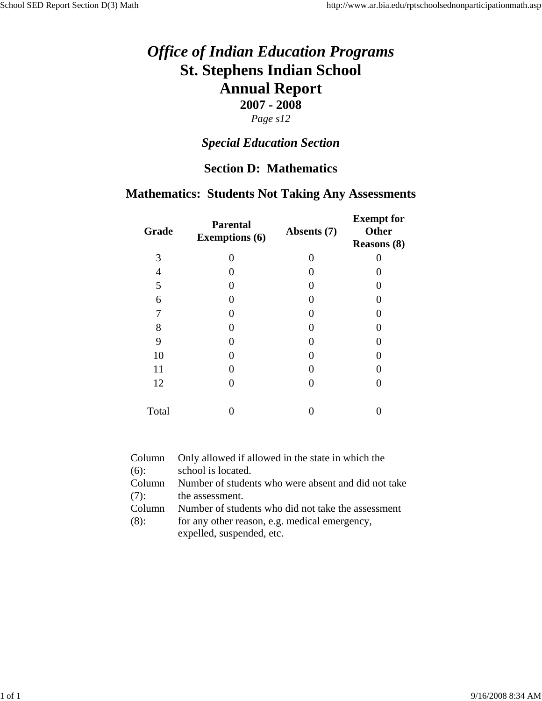### *Special Education Section*

#### **Section D: Mathematics**

### **Mathematics: Students Not Taking Any Assessments**

| Grade | <b>Parental</b><br><b>Exemptions (6)</b> | Absents (7) | <b>Exempt</b> for<br><b>Other</b><br><b>Reasons (8)</b> |
|-------|------------------------------------------|-------------|---------------------------------------------------------|
| 3     | 0                                        | 0           |                                                         |
| 4     |                                          |             |                                                         |
| 5     |                                          |             |                                                         |
| 6     |                                          | 0           |                                                         |
| 7     |                                          |             |                                                         |
| 8     |                                          | 0           |                                                         |
| 9     |                                          | 0           |                                                         |
| 10    |                                          | 0           |                                                         |
| 11    |                                          | 0           |                                                         |
| 12    |                                          | 0           |                                                         |
| Total |                                          |             |                                                         |

| Column  | Only allowed if allowed in the state in which the   |
|---------|-----------------------------------------------------|
| $(6)$ : | school is located.                                  |
| Column  | Number of students who were absent and did not take |
| (7):    | the assessment.                                     |
| Column  | Number of students who did not take the assessment  |
| (8):    | for any other reason, e.g. medical emergency,       |
|         | expelled, suspended, etc.                           |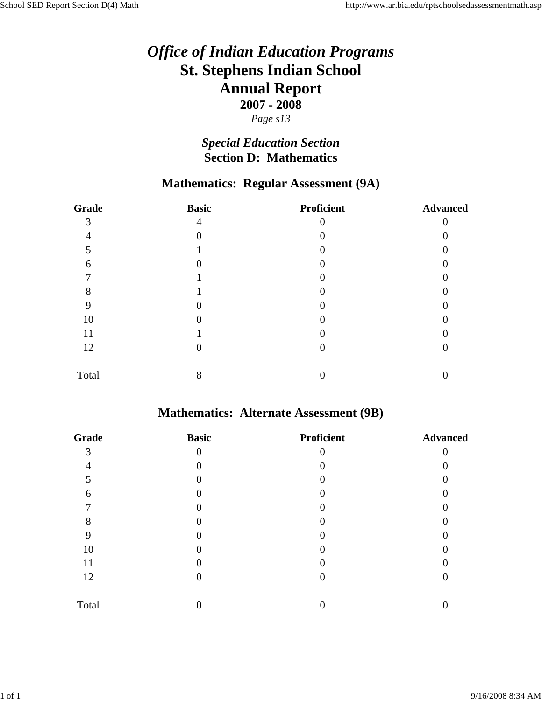*Page s13*

### *Special Education Section* **Section D: Mathematics**

### **Mathematics: Regular Assessment (9A)**

| Grade | <b>Basic</b> | <b>Proficient</b> | <b>Advanced</b> |
|-------|--------------|-------------------|-----------------|
| 3     | 4            |                   |                 |
| 4     | 0            |                   |                 |
|       |              |                   |                 |
| 6     |              |                   |                 |
|       |              |                   |                 |
| 8     |              |                   |                 |
| 9     |              |                   |                 |
| 10    |              |                   |                 |
| 11    |              |                   |                 |
| 12    |              |                   |                 |
| Total | 8            |                   |                 |

## **Mathematics: Alternate Assessment (9B)**

| Grade | <b>Basic</b> | <b>Proficient</b> | <b>Advanced</b> |
|-------|--------------|-------------------|-----------------|
| 3     | $\theta$     |                   |                 |
|       |              |                   |                 |
| 5     |              |                   |                 |
| 6     |              |                   |                 |
|       |              |                   |                 |
| 8     |              |                   |                 |
|       |              |                   |                 |
| 10    |              |                   |                 |
| 11    |              |                   |                 |
| 12    |              |                   |                 |
| Total |              |                   |                 |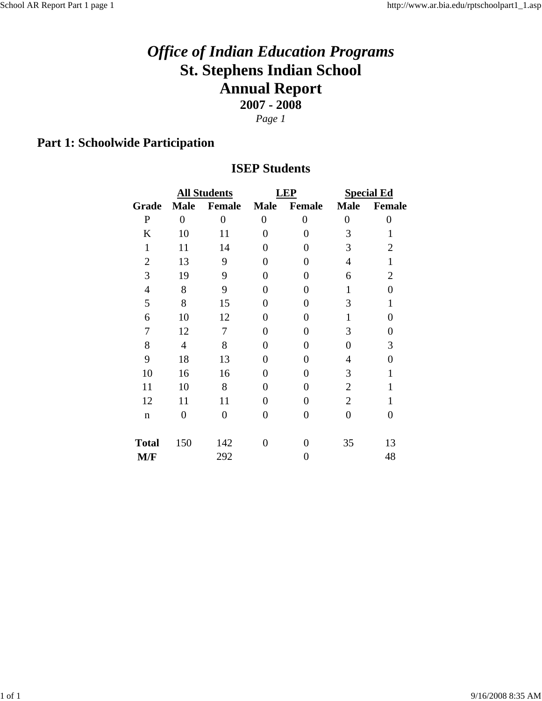*Page 1*

## **Part 1: Schoolwide Participation**

#### **ISEP Students**

|                |                | <b>All Students</b> |                  | LEP            | <b>Special Ed</b> |                |
|----------------|----------------|---------------------|------------------|----------------|-------------------|----------------|
| Grade          | <b>Male</b>    | Female              | <b>Male</b>      | <b>Female</b>  | <b>Male</b>       | Female         |
| ${\bf P}$      | $\overline{0}$ | $\overline{0}$      | $\boldsymbol{0}$ | 0              | $\boldsymbol{0}$  | $\theta$       |
| K              | 10             | 11                  | $\overline{0}$   | $\Omega$       | 3                 | 1              |
| $\mathbf{1}$   | 11             | 14                  | 0                | 0              | 3                 | $\overline{2}$ |
| $\overline{2}$ | 13             | 9                   | 0                | 0              | $\overline{4}$    | $\mathbf{1}$   |
| 3              | 19             | 9                   | 0                | 0              | 6                 | $\overline{2}$ |
| $\overline{4}$ | 8              | 9                   | 0                | 0              | 1                 | $\overline{0}$ |
| 5              | 8              | 15                  | 0                | 0              | 3                 | 1              |
| 6              | 10             | 12                  | 0                | 0              | 1                 | 0              |
| 7              | 12             | 7                   | 0                | 0              | 3                 | $\overline{0}$ |
| 8              | $\overline{4}$ | 8                   | 0                | 0              | $\overline{0}$    | 3              |
| 9              | 18             | 13                  | 0                | 0              | 4                 | $\theta$       |
| 10             | 16             | 16                  | 0                | 0              | 3                 | 1              |
| 11             | 10             | 8                   | $\overline{0}$   | 0              | $\overline{2}$    | $\mathbf{1}$   |
| 12             | 11             | 11                  | $\overline{0}$   | 0              | $\overline{2}$    | 1              |
| $\mathbf n$    | $\overline{0}$ | $\overline{0}$      | $\overline{0}$   | $\overline{0}$ | $\overline{0}$    | $\overline{0}$ |
| <b>Total</b>   | 150            | 142                 | 0                | 0              | 35                | 13             |
| M/F            |                | 292                 |                  | 0              |                   | 48             |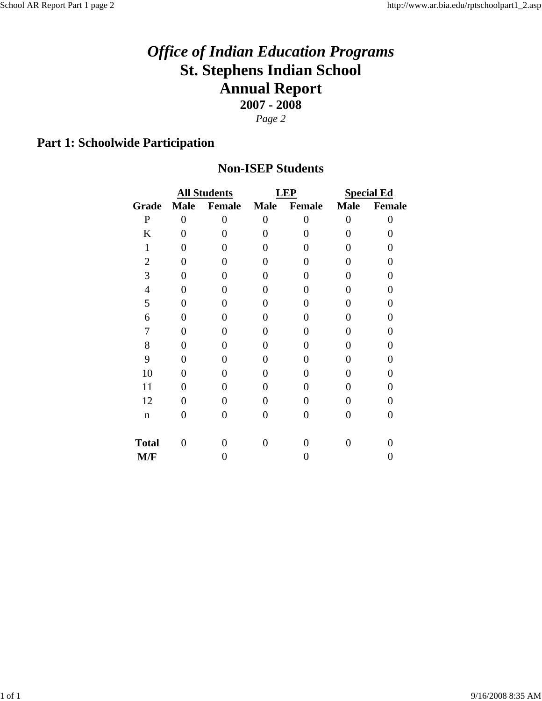## **Part 1: Schoolwide Participation**

#### **Non-ISEP Students**

|                |                | <b>All Students</b> |             | <b>LEP</b>        | <b>Special Ed</b> |          |
|----------------|----------------|---------------------|-------------|-------------------|-------------------|----------|
| Grade          | <b>Male</b>    | <b>Female</b>       | <b>Male</b> | Female            | <b>Male</b>       | Female   |
| $\mathbf P$    | $\overline{0}$ | $\overline{0}$      | $\theta$    | $\theta$          | 0                 | $\theta$ |
| K              | 0              | 0                   |             | 0                 | 0                 | 0        |
| 1              | 0              | 0                   |             | 0                 | 0                 | 0        |
| $\overline{2}$ | 0              | 0                   | 0           | 0                 | 0                 | 0        |
| 3              | 0              | 0                   | 0           | 0                 | 0                 | 0        |
| $\overline{4}$ | 0              | 0                   | 0           | 0                 | 0                 | N        |
| 5              | 0              | 0                   | 0           | 0                 | 0                 |          |
| 6              | 0              | 0                   | 0           | 0                 | 0                 | 0        |
| 7              | 0              | 0                   | 0           | 0                 | 0                 | 0        |
| 8              | 0              | 0                   | 0           | 0                 | 0                 | 0        |
| 9              | 0              | 0                   | 0           | 0                 | 0                 | 0        |
| 10             | 0              | 0                   | 0           | $\mathbf{\Omega}$ | 0                 | 0        |
| 11             | 0              | 0                   | 0           | 0                 | 0                 | 0        |
| 12             | 0              | 0                   | 0           | 0                 | 0                 | 0        |
| $\mathbf n$    | 0              | 0                   | 0           | 0                 | 0                 | 0        |
| <b>Total</b>   | 0              | 0                   | 0           | 0                 | 0                 |          |
| M/F            |                |                     |             | 0                 |                   | O        |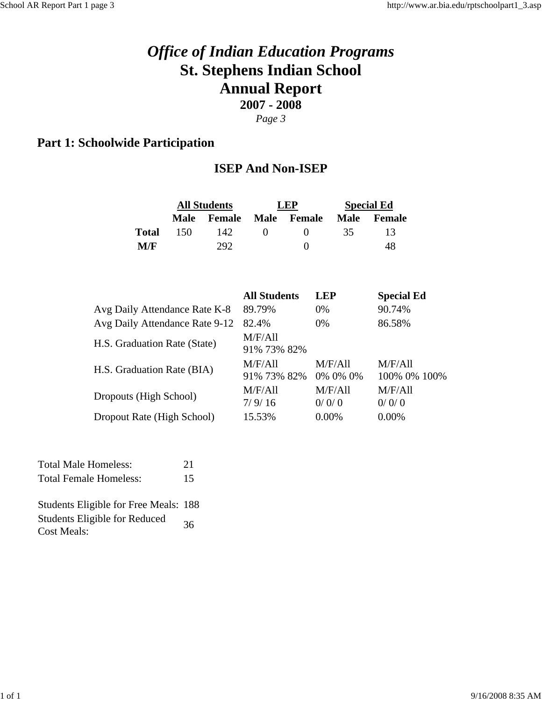### **Part 1: Schoolwide Participation**

#### **ISEP And Non-ISEP**

|                                |             | <b>All Students</b> | LEP                    |                     |                  | <b>Special Ed</b>       |
|--------------------------------|-------------|---------------------|------------------------|---------------------|------------------|-------------------------|
|                                | <b>Male</b> | <b>Female</b>       | <b>Male</b>            | <b>Female</b>       | <b>Male</b>      | <b>Female</b>           |
| <b>Total</b>                   | 150         | 142                 | 0                      | 0                   | 35               | 13                      |
| M/F                            |             | 292                 |                        | $\overline{0}$      |                  | 48                      |
|                                |             |                     | <b>All Students</b>    |                     | <b>LEP</b>       | <b>Special Ed</b>       |
| Avg Daily Attendance Rate K-8  |             |                     | 89.79%                 |                     | 0%               | 90.74%                  |
| Avg Daily Attendance Rate 9-12 |             |                     | 82.4%                  |                     | 0%               | 86.58%                  |
| H.S. Graduation Rate (State)   |             |                     | M/F/Al1<br>91% 73% 82% |                     |                  |                         |
| H.S. Graduation Rate (BIA)     |             |                     | M/F/All<br>91% 73% 82% | M/F/All<br>0% 0% 0% |                  | M/F/All<br>100% 0% 100% |
| Dropouts (High School)         |             |                     | M/F/All<br>7/9/16      |                     | M/F/All<br>0/0/0 | M/F/All<br>0/0/0        |
| Dropout Rate (High School)     |             |                     | 15.53%                 |                     | 0.00%            | 0.00%                   |

| <b>Total Male Homeless:</b>   | 21 |
|-------------------------------|----|
| <b>Total Female Homeless:</b> | 15 |
|                               |    |

Students Eligible for Free Meals: 188 Students Eligible for Reduced 36<br>Cost Meals: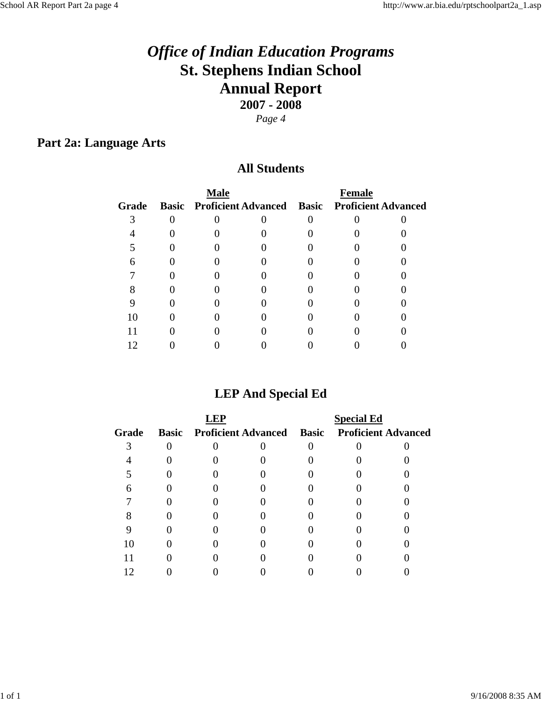### **Part 2a: Language Arts**

#### **All Students**

|       | <b>Male</b>                                                |  | <b>Female</b> |  |
|-------|------------------------------------------------------------|--|---------------|--|
| Grade | <b>Basic Proficient Advanced Basic Proficient Advanced</b> |  |               |  |
|       |                                                            |  |               |  |
|       |                                                            |  |               |  |
|       |                                                            |  |               |  |
|       |                                                            |  |               |  |
|       |                                                            |  |               |  |
|       |                                                            |  |               |  |
|       |                                                            |  |               |  |
|       |                                                            |  |               |  |
|       |                                                            |  |               |  |
|       |                                                            |  |               |  |

### **LEP And Special Ed**

|       |  |                                                     | <b>Special Ed</b> |  |
|-------|--|-----------------------------------------------------|-------------------|--|
| Grade |  | Basic Proficient Advanced Basic Proficient Advanced |                   |  |
|       |  |                                                     |                   |  |
|       |  |                                                     |                   |  |
|       |  |                                                     |                   |  |
|       |  |                                                     |                   |  |
|       |  |                                                     |                   |  |
|       |  |                                                     |                   |  |
|       |  |                                                     |                   |  |
|       |  |                                                     |                   |  |
|       |  |                                                     |                   |  |
|       |  |                                                     |                   |  |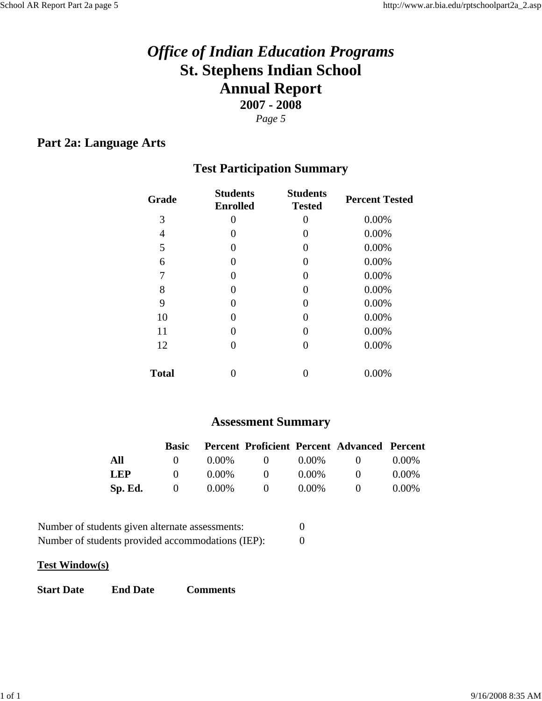### **Part 2a: Language Arts**

### **Test Participation Summary**

| 3<br>0<br>0                   | 0.00%<br>0.00% |
|-------------------------------|----------------|
|                               |                |
| 4<br>$\theta$<br>$\theta$     |                |
| 5<br>0<br>$\theta$            | 0.00%          |
| 6<br>$\mathbf{0}$<br>$\theta$ | 0.00%          |
| 7<br>0<br>0                   | 0.00%          |
| 8<br>$\mathbf{0}$             | 0.00%          |
| 9<br>0<br>$\mathbf{0}$        | 0.00%          |
| 10<br>$\mathbf{0}$<br>0       | 0.00%          |
| 11<br>$\mathbf{0}$<br>0       | 0.00%          |
| 12<br>$\mathbf{\Omega}$       | 0.00%          |
| <b>Total</b>                  | 0.00%          |

### **Assessment Summary**

|            | <b>Basic</b> |          |                     |          | Percent Proficient Percent Advanced Percent |          |
|------------|--------------|----------|---------------------|----------|---------------------------------------------|----------|
| All        | $\mathbf{U}$ | $0.00\%$ | $\bullet$ $\bullet$ | $0.00\%$ | $\mathbf{U}$                                | $0.00\%$ |
| <b>LEP</b> | $\mathbf{O}$ | $0.00\%$ | $\mathbf{O}$        | $0.00\%$ | $^{\prime}$                                 | $0.00\%$ |
| Sp. Ed.    | $\sqrt{0}$   | $0.00\%$ | $\theta$            | $0.00\%$ | $\mathbf{U}$                                | $0.00\%$ |

| Number of students given alternate assessments:   |  |
|---------------------------------------------------|--|
| Number of students provided accommodations (IEP): |  |

#### **Test Window(s)**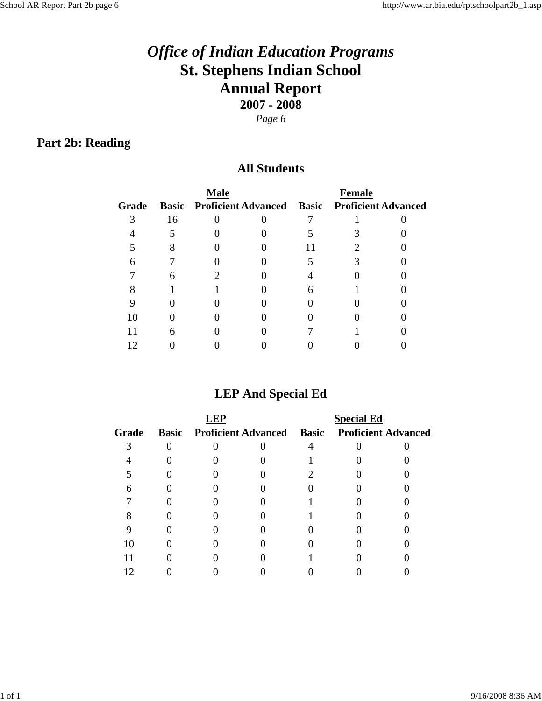## **Part 2b: Reading**

#### **All Students**

|       |    | <b>Male</b> |                                                            | <b>Female</b> |  |
|-------|----|-------------|------------------------------------------------------------|---------------|--|
| Grade |    |             | <b>Basic Proficient Advanced Basic Proficient Advanced</b> |               |  |
|       | 16 |             |                                                            |               |  |
|       |    |             |                                                            |               |  |
|       |    |             |                                                            |               |  |
|       |    |             |                                                            |               |  |
|       |    |             |                                                            |               |  |
|       |    |             |                                                            |               |  |
|       |    |             |                                                            |               |  |
|       |    |             |                                                            |               |  |
|       |    |             |                                                            |               |  |
|       |    |             |                                                            |               |  |

### **LEP And Special Ed**

|       |  |                                                     | <b>Special Ed</b> |  |
|-------|--|-----------------------------------------------------|-------------------|--|
| Grade |  | Basic Proficient Advanced Basic Proficient Advanced |                   |  |
|       |  |                                                     |                   |  |
|       |  |                                                     |                   |  |
|       |  |                                                     |                   |  |
|       |  |                                                     |                   |  |
|       |  |                                                     |                   |  |
|       |  |                                                     |                   |  |
|       |  |                                                     |                   |  |
|       |  |                                                     |                   |  |
|       |  |                                                     |                   |  |
|       |  |                                                     |                   |  |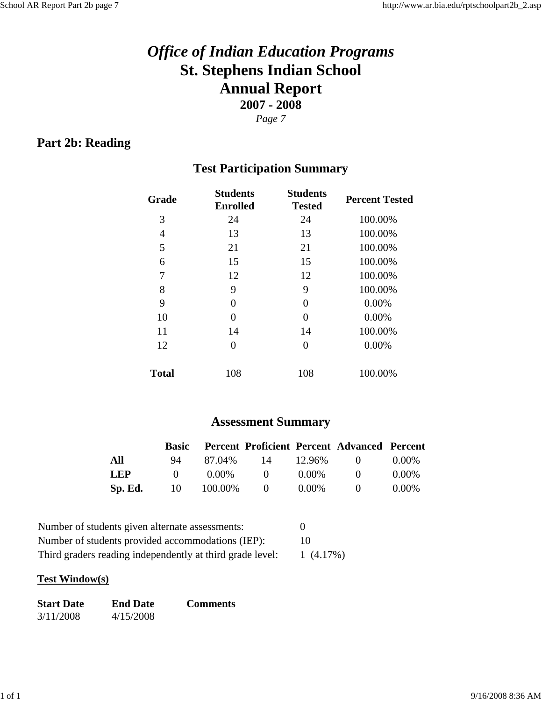### **Part 2b: Reading**

### **Test Participation Summary**

| Grade        | <b>Students</b><br><b>Enrolled</b> | <b>Students</b><br><b>Tested</b> | <b>Percent Tested</b> |
|--------------|------------------------------------|----------------------------------|-----------------------|
| 3            | 24                                 | 24                               | 100.00%               |
| 4            | 13                                 | 13                               | 100.00%               |
| 5            | 21                                 | 21                               | 100.00%               |
| 6            | 15                                 | 15                               | 100.00%               |
| 7            | 12                                 | 12                               | 100.00%               |
| 8            | 9                                  | 9                                | 100.00%               |
| 9            | 0                                  | 0                                | 0.00%                 |
| 10           | 0                                  | $\Omega$                         | 0.00%                 |
| 11           | 14                                 | 14                               | 100.00%               |
| 12           | 0                                  | $\Omega$                         | 0.00%                 |
| <b>Total</b> | 108                                | 108                              | 100.00%               |

### **Assessment Summary**

|            | <b>Basic</b> |            |              |          | <b>Percent Proficient Percent Advanced Percent</b> |          |
|------------|--------------|------------|--------------|----------|----------------------------------------------------|----------|
| All        | 94.          | 87.04%     | 14           | 12.96%   | $\mathbf{0}$                                       | $0.00\%$ |
| <b>LEP</b> | $\mathbf{U}$ | $0.00\%$   | $\mathbf{O}$ | $0.00\%$ | $\mathbf{U}$                                       | $0.00\%$ |
| Sp. Ed.    |              | 10 100.00% | $\theta$     | $0.00\%$ | $\mathbf{U}$                                       | $0.00\%$ |

| Number of students given alternate assessments:           |             |
|-----------------------------------------------------------|-------------|
| Number of students provided accommodations (IEP):         | 10          |
| Third graders reading independently at third grade level: | $1(4.17\%)$ |

#### **Test Window(s)**

| <b>Start Date</b> | <b>End Date</b> | <b>Comments</b> |
|-------------------|-----------------|-----------------|
| 3/11/2008         | 4/15/2008       |                 |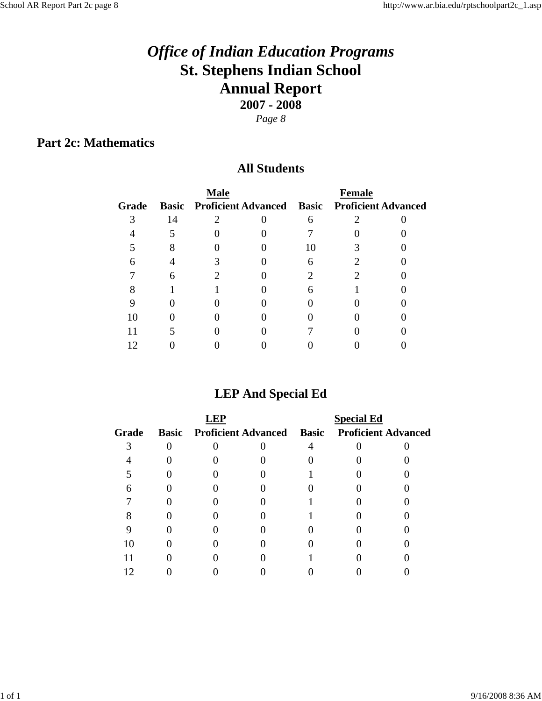**Part 2c: Mathematics**

#### **All Students**

|       |    | <b>Male</b> |                                                            | <b>Female</b> |  |
|-------|----|-------------|------------------------------------------------------------|---------------|--|
| Grade |    |             | <b>Basic Proficient Advanced Basic Proficient Advanced</b> |               |  |
|       | 14 |             |                                                            |               |  |
|       |    |             |                                                            |               |  |
|       |    |             |                                                            |               |  |
|       |    |             |                                                            |               |  |
|       |    |             |                                                            |               |  |
|       |    |             |                                                            |               |  |
|       |    |             |                                                            |               |  |
|       |    |             |                                                            |               |  |
|       |    |             |                                                            |               |  |
|       |    |             |                                                            |               |  |

### **LEP And Special Ed**

|       |  |                                                     | <b>Special Ed</b> |  |
|-------|--|-----------------------------------------------------|-------------------|--|
| Grade |  | Basic Proficient Advanced Basic Proficient Advanced |                   |  |
|       |  |                                                     |                   |  |
|       |  |                                                     |                   |  |
|       |  |                                                     |                   |  |
|       |  |                                                     |                   |  |
|       |  |                                                     |                   |  |
|       |  |                                                     |                   |  |
|       |  |                                                     |                   |  |
|       |  |                                                     |                   |  |
|       |  |                                                     |                   |  |
|       |  |                                                     |                   |  |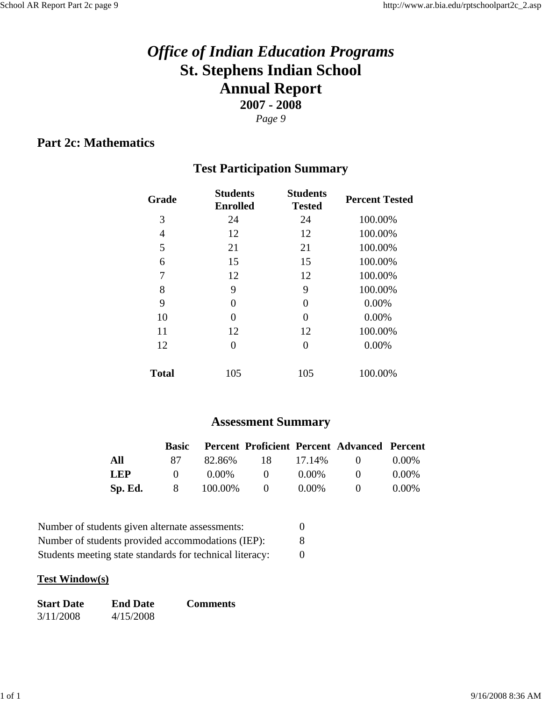### **Part 2c: Mathematics**

### **Test Participation Summary**

| Grade        | <b>Students</b><br><b>Enrolled</b> | <b>Students</b><br><b>Tested</b> | <b>Percent Tested</b> |
|--------------|------------------------------------|----------------------------------|-----------------------|
| 3            | 24                                 | 24                               | 100.00%               |
| 4            | 12                                 | 12                               | 100.00%               |
| 5            | 21                                 | 21                               | 100.00%               |
| 6            | 15                                 | 15                               | 100.00%               |
| 7            | 12                                 | 12                               | 100.00%               |
| 8            | 9                                  | 9                                | 100.00%               |
| 9            | 0                                  | 0                                | 0.00%                 |
| 10           | 0                                  | 0                                | 0.00%                 |
| 11           | 12                                 | 12                               | 100.00%               |
| 12           | 0                                  | 0                                | 0.00%                 |
| <b>Total</b> | 105                                | 105                              | 100.00%               |

### **Assessment Summary**

|            |              |           |                  |          | <b>Basic Percent Proficient Percent Advanced Percent</b> |          |
|------------|--------------|-----------|------------------|----------|----------------------------------------------------------|----------|
| All        | 87 -         |           | 82.86% 18 17.14% |          | $\mathbf{0}$                                             | $0.00\%$ |
| <b>LEP</b> | $\mathbf{O}$ | $0.00\%$  | $\bigcup$        | $0.00\%$ | $\mathbf{U}$                                             | $0.00\%$ |
| Sp. Ed.    | 8            | 100.00% 0 |                  | $0.00\%$ | $\mathbf{O}$                                             | $0.00\%$ |

| Number of students given alternate assessments:          |   |
|----------------------------------------------------------|---|
| Number of students provided accommodations (IEP):        | 8 |
| Students meeting state standards for technical literacy: |   |

#### **Test Window(s)**

| <b>Start Date</b> | <b>End Date</b> | <b>Comments</b> |
|-------------------|-----------------|-----------------|
| 3/11/2008         | 4/15/2008       |                 |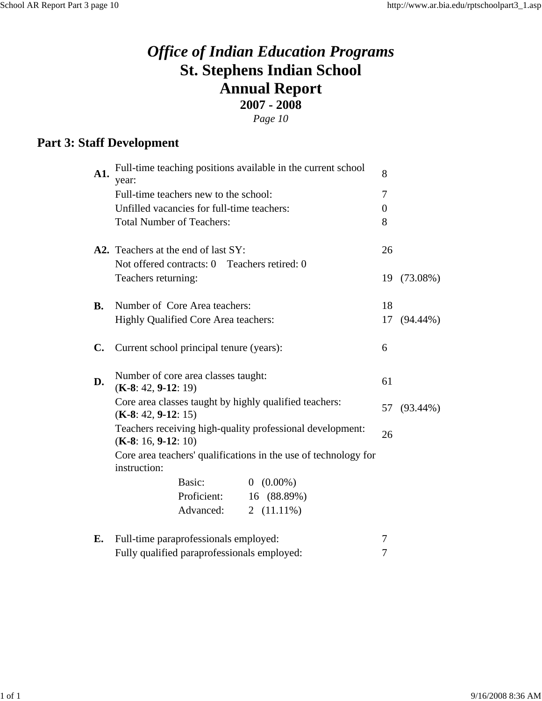**Part 3: Staff Development**

| A1.       | Full-time teaching positions available in the current school<br>year:              | 8             |              |             |
|-----------|------------------------------------------------------------------------------------|---------------|--------------|-------------|
|           | Full-time teachers new to the school:                                              |               | 7            |             |
|           | Unfilled vacancies for full-time teachers:                                         |               | $\mathbf{0}$ |             |
|           | <b>Total Number of Teachers:</b>                                                   |               | 8            |             |
|           | A2. Teachers at the end of last SY:                                                |               | 26           |             |
|           | Not offered contracts: 0 Teachers retired: 0                                       |               |              |             |
|           | Teachers returning:                                                                |               | 19           | $(73.08\%)$ |
| <b>B.</b> | Number of Core Area teachers:                                                      |               | 18           |             |
|           | Highly Qualified Core Area teachers:                                               | 17            | $(94.44\%)$  |             |
| C.        | Current school principal tenure (years):                                           | 6             |              |             |
| D.        | Number of core area classes taught:<br>$(K-8: 42, 9-12: 19)$                       | 61            |              |             |
|           | Core area classes taught by highly qualified teachers:<br>$(K-8: 42, 9-12: 15)$    |               | 57 (93.44%)  |             |
|           | Teachers receiving high-quality professional development:<br>$(K-8: 16, 9-12: 10)$ | 26            |              |             |
|           | Core area teachers' qualifications in the use of technology for<br>instruction:    |               |              |             |
|           | Basic:                                                                             | $0(0.00\%)$   |              |             |
|           | Proficient:                                                                        | 16 (88.89%)   |              |             |
|           | Advanced:                                                                          | 2 $(11.11\%)$ |              |             |
| E.        | Full-time paraprofessionals employed:                                              | 7             |              |             |
|           | Fully qualified paraprofessionals employed:                                        | 7             |              |             |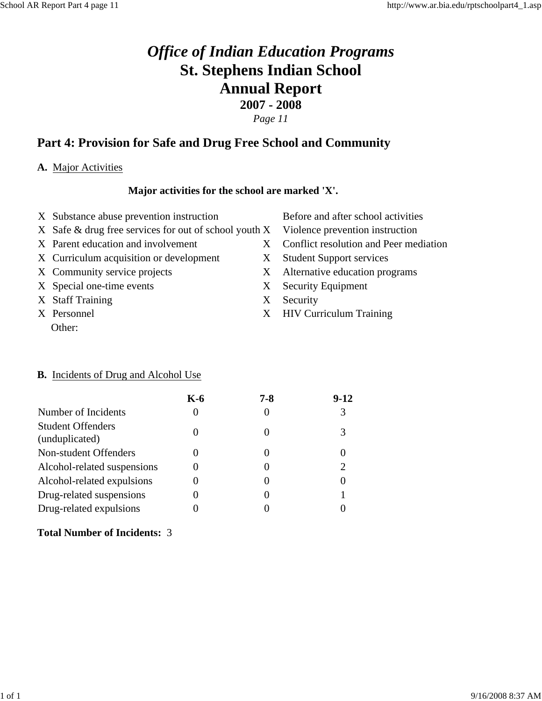#### **Part 4: Provision for Safe and Drug Free School and Community**

#### **A.** Major Activities

#### **Major activities for the school are marked 'X'.**

- X Substance abuse prevention instruction Before and after school activities
- X Safe & drug free services for out of school youth X Violence prevention instruction
- 
- X Curriculum acquisition or development X Student Support services
- 
- X Special one-time events X Security Equipment
- X Staff Training X Security
- Other:
- 
- 
- X Parent education and involvement X Conflict resolution and Peer mediation
	-
- X Community service projects X Alternative education programs
	-
	-
- X Personnel X HIV Curriculum Training

#### **B.** Incidents of Drug and Alcohol Use

|                                            | K-6 | 7-8 | $9-12$ |
|--------------------------------------------|-----|-----|--------|
| Number of Incidents                        |     |     | 3      |
| <b>Student Offenders</b><br>(unduplicated) |     |     |        |
| Non-student Offenders                      |     |     |        |
| Alcohol-related suspensions                |     |     |        |
| Alcohol-related expulsions                 |     |     |        |
| Drug-related suspensions                   |     |     |        |
| Drug-related expulsions                    |     |     |        |

#### **Total Number of Incidents:** 3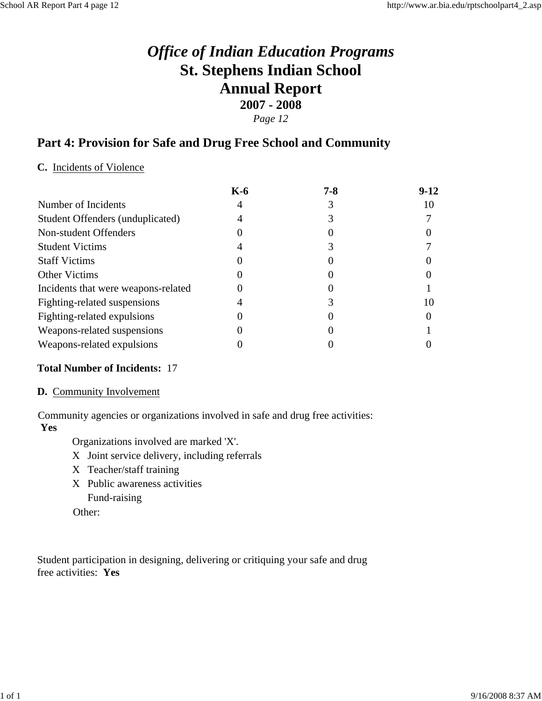#### *Page 12*

#### **Part 4: Provision for Safe and Drug Free School and Community**

#### **C.** Incidents of Violence

| $K-6$ | $7 - 8$ | $9-12$ |
|-------|---------|--------|
|       |         |        |
|       |         |        |
|       |         |        |
|       |         |        |
|       |         |        |
|       |         |        |
|       |         |        |
|       |         |        |
|       |         |        |
|       |         |        |
|       |         |        |
|       |         |        |

#### **Total Number of Incidents:** 17

#### **D.** Community Involvement

Community agencies or organizations involved in safe and drug free activities: **Yes**

Organizations involved are marked 'X'.

- X Joint service delivery, including referrals
- X Teacher/staff training
- X Public awareness activities Fund-raising

Other:

Student participation in designing, delivering or critiquing your safe and drug free activities: **Yes**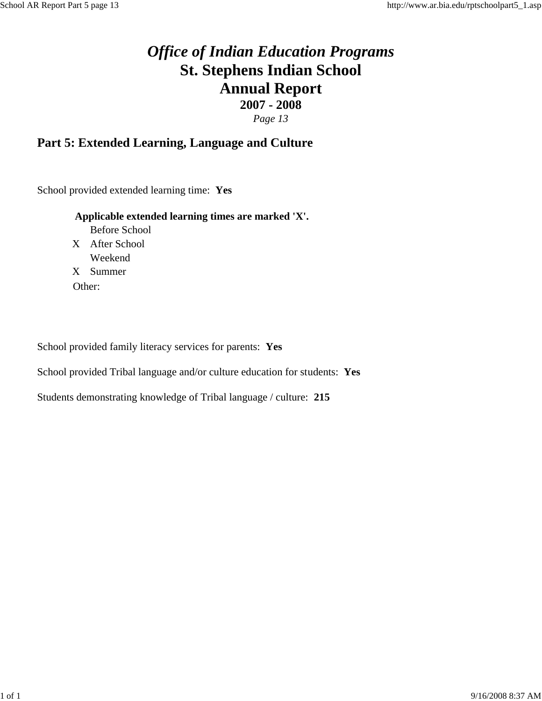#### **Part 5: Extended Learning, Language and Culture**

School provided extended learning time: **Yes**

#### **Applicable extended learning times are marked 'X'.**

Before School X After School Weekend X Summer Other:

School provided family literacy services for parents: **Yes**

School provided Tribal language and/or culture education for students: **Yes**

Students demonstrating knowledge of Tribal language / culture: **215**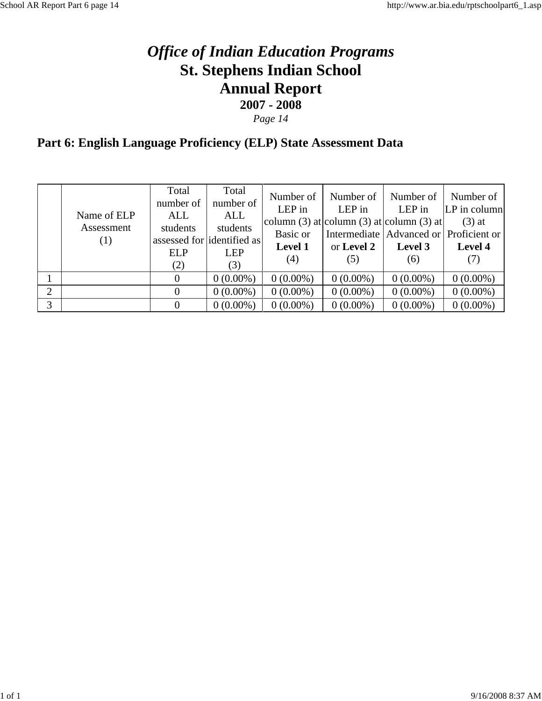*Page 14*

## **Part 6: English Language Proficiency (ELP) State Assessment Data**

|   | Name of ELP<br>Assessment<br>(1) | Total<br>number of<br>ALL<br>students<br><b>ELP</b><br>(2) | Total<br>number of<br>ALL<br>students<br>assessed for dentified as<br><b>LEP</b><br>(3) | Number of<br>$LEP$ in<br>Basic or<br><b>Level 1</b><br>(4) | Number of<br>LEP in<br>column (3) at column (3) at column (3) at<br>or Level 2<br>(5) | Number of<br>LEP in<br>Intermediate   Advanced or   Proficient or  <br>Level 3<br>(6) | Number of<br>$ LP $ in column<br>$(3)$ at<br>Level 4<br>(7) |
|---|----------------------------------|------------------------------------------------------------|-----------------------------------------------------------------------------------------|------------------------------------------------------------|---------------------------------------------------------------------------------------|---------------------------------------------------------------------------------------|-------------------------------------------------------------|
|   |                                  | $\theta$                                                   | $0(0.00\%)$                                                                             | $0(0.00\%)$                                                | $0(0.00\%)$                                                                           | $0(0.00\%)$                                                                           | $0(0.00\%)$                                                 |
| 2 |                                  |                                                            | $0(0.00\%)$                                                                             | $0(0.00\%)$                                                | $0(0.00\%)$                                                                           | $0(0.00\%)$                                                                           | $0(0.00\%)$                                                 |
| 3 |                                  | $\Omega$                                                   | $0(0.00\%)$                                                                             | $0(0.00\%)$                                                | $0(0.00\%)$                                                                           | $0(0.00\%)$                                                                           | $0(0.00\%)$                                                 |